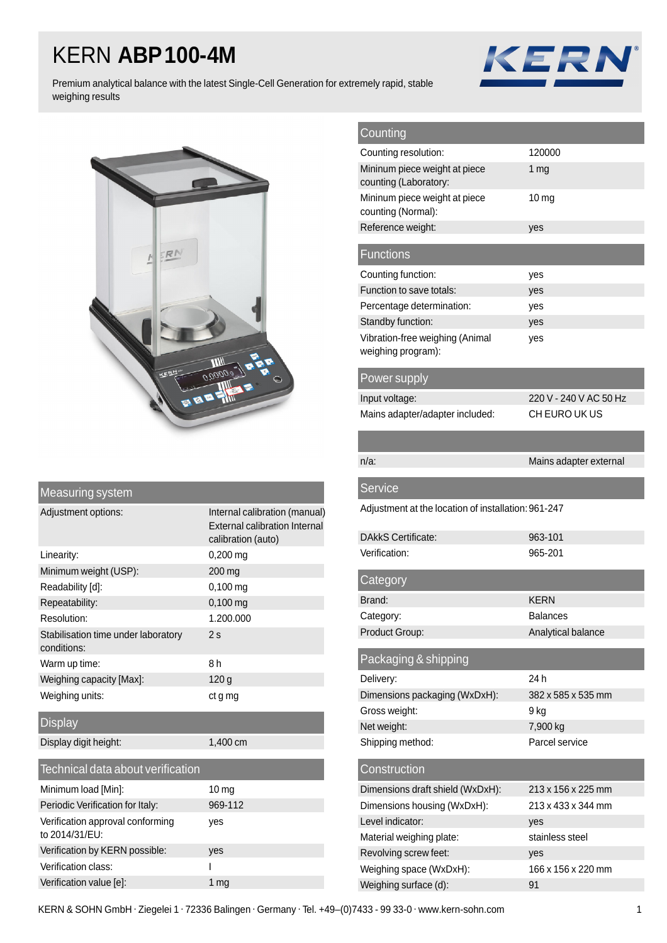## KERN **ABP100-4M**



Premium analytical balance with the latest Single-Cell Generation for extremely rapid, stable weighing results



| Measuring system                                   |                                                                                             |  |  |  |
|----------------------------------------------------|---------------------------------------------------------------------------------------------|--|--|--|
| Adjustment options:                                | Internal calibration (manual)<br><b>External calibration Internal</b><br>calibration (auto) |  |  |  |
| Linearity:                                         | $0,200 \,\mathrm{ma}$                                                                       |  |  |  |
| Minimum weight (USP):                              | 200 mg                                                                                      |  |  |  |
| Readability [d]:                                   | $0,100$ mg                                                                                  |  |  |  |
| Repeatability:                                     | $0,100$ mg                                                                                  |  |  |  |
| Resolution:                                        | 1.200.000                                                                                   |  |  |  |
| Stabilisation time under laboratory<br>conditions: | 2s                                                                                          |  |  |  |
| Warm up time:                                      | 8h                                                                                          |  |  |  |
| Weighing capacity [Max]:                           | 120 g                                                                                       |  |  |  |
| Weighing units:                                    | ct g mg                                                                                     |  |  |  |
| <b>Display</b>                                     |                                                                                             |  |  |  |
| Display digit height:                              | 1,400 cm                                                                                    |  |  |  |
| Technical data about verification                  |                                                                                             |  |  |  |
| Minimum load [Min]:                                | 10 <sub>mg</sub>                                                                            |  |  |  |
| Periodic Verification for Italy:                   | 969-112                                                                                     |  |  |  |
| Verification approval conforming<br>to 2014/31/EU: | yes                                                                                         |  |  |  |

Verification by KERN possible: yes Verification class: I Verification value [e]: 1 mg

| Counting                                               |                        |  |  |  |
|--------------------------------------------------------|------------------------|--|--|--|
| Counting resolution:                                   | 120000                 |  |  |  |
| Mininum piece weight at piece<br>counting (Laboratory: | 1 mg                   |  |  |  |
| Mininum piece weight at piece<br>counting (Normal):    | 10 <sub>mg</sub>       |  |  |  |
| Reference weight:                                      | yes                    |  |  |  |
| <b>Functions</b>                                       |                        |  |  |  |
| Counting function:                                     | yes                    |  |  |  |
| Function to save totals:                               | yes                    |  |  |  |
| Percentage determination:                              | yes                    |  |  |  |
| Standby function:                                      | yes                    |  |  |  |
| Vibration-free weighing (Animal<br>weighing program):  | yes                    |  |  |  |
| Power supply                                           |                        |  |  |  |
| Input voltage:                                         | 220 V - 240 V AC 50 Hz |  |  |  |
| Mains adapter/adapter included:                        | CH EURO UK US          |  |  |  |
|                                                        |                        |  |  |  |
| $n/a$ :                                                | Mains adapter external |  |  |  |
| <b>Service</b>                                         |                        |  |  |  |
| Adjustment at the location of installation: 961-247    |                        |  |  |  |
| <b>DAkkS Certificate:</b>                              | 963-101                |  |  |  |
| Verification:                                          | 965-201                |  |  |  |
| Category                                               |                        |  |  |  |
|                                                        |                        |  |  |  |
| Brand:                                                 | KERN                   |  |  |  |
| Category:                                              | <b>Balances</b>        |  |  |  |
| Product Group:                                         | Analytical balance     |  |  |  |
| Packaging & shipping                                   |                        |  |  |  |
| Delivery:                                              | 24 h                   |  |  |  |
| Dimensions packaging (WxDxH):                          | 382 x 585 x 535 mm     |  |  |  |
| Gross weight:                                          | 9 kg                   |  |  |  |
| Net weight:                                            | 7,900 kg               |  |  |  |
| Shipping method:                                       | Parcel service         |  |  |  |
| Construction                                           |                        |  |  |  |
|                                                        |                        |  |  |  |
| Dimensions draft shield (WxDxH):                       | 213 x 156 x 225 mm     |  |  |  |
| Dimensions housing (WxDxH):                            | 213 x 433 x 344 mm     |  |  |  |
| Level indicator:                                       | yes                    |  |  |  |
| Material weighing plate:                               | stainless steel        |  |  |  |
| Revolving screw feet:                                  | yes                    |  |  |  |
| Weighing space (WxDxH):                                | 166 x 156 x 220 mm     |  |  |  |

KERN & SOHN GmbH · Ziegelei 1 · 72336 Balingen · Germany · Tel. +49-(0)7433 - 99 33-0 · www.kern-sohn.com